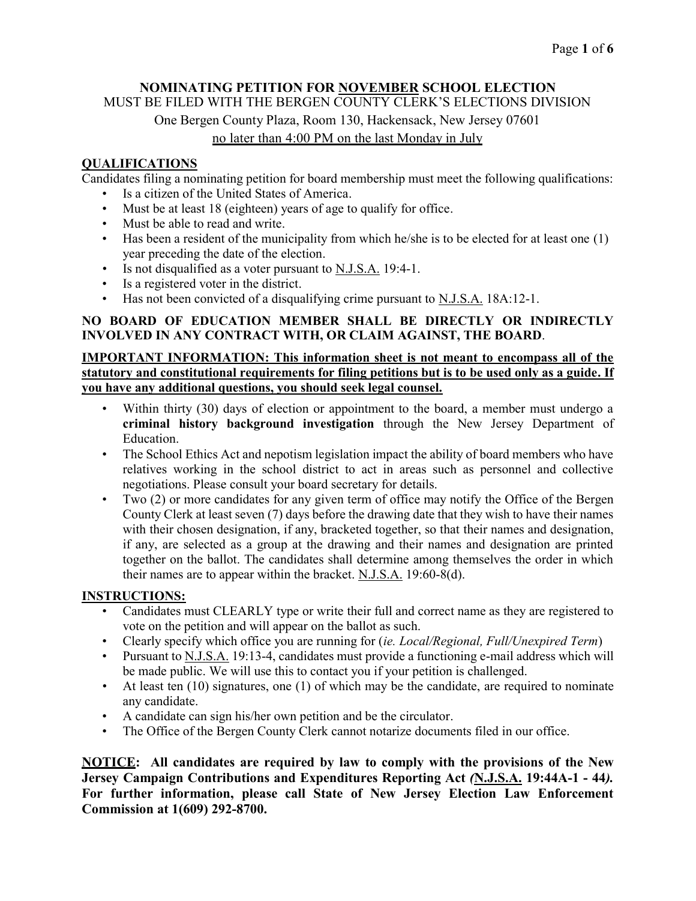# **NOMINATING PETITION FOR NOVEMBER SCHOOL ELECTION**

# MUST BE FILED WITH THE BERGEN COUNTY CLERK'S ELECTIONS DIVISION

One Bergen County Plaza, Room 130, Hackensack, New Jersey 07601 no later than 4:00 PM on the last Monday in July

### **QUALIFICATIONS**

Candidates filing a nominating petition for board membership must meet the following qualifications:

- Is a citizen of the United States of America.
- Must be at least 18 (eighteen) years of age to qualify for office.
- Must be able to read and write.
- Has been a resident of the municipality from which he/she is to be elected for at least one (1) year preceding the date of the election.
- Is not disqualified as a voter pursuant to  $N.J.S.A.$  19:4-1.
- Is a registered voter in the district.
- Has not been convicted of a disqualifying crime pursuant to N.J.S.A. 18A:12-1.

#### **NO BOARD OF EDUCATION MEMBER SHALL BE DIRECTLY OR INDIRECTLY INVOLVED IN ANY CONTRACT WITH, OR CLAIM AGAINST, THE BOARD**.

#### **IMPORTANT INFORMATION: This information sheet is not meant to encompass all of the statutory and constitutional requirements for filing petitions but is to be used only as a guide. If you have any additional questions, you should seek legal counsel.**

- Within thirty (30) days of election or appointment to the board, a member must undergo a **criminal history background investigation** through the New Jersey Department of Education.
- The School Ethics Act and nepotism legislation impact the ability of board members who have relatives working in the school district to act in areas such as personnel and collective negotiations. Please consult your board secretary for details.
- Two (2) or more candidates for any given term of office may notify the Office of the Bergen County Clerk at least seven (7) days before the drawing date that they wish to have their names with their chosen designation, if any, bracketed together, so that their names and designation, if any, are selected as a group at the drawing and their names and designation are printed together on the ballot. The candidates shall determine among themselves the order in which their names are to appear within the bracket.  $N.J.S.A.$  19:60-8(d).

## **INSTRUCTIONS:**

- Candidates must CLEARLY type or write their full and correct name as they are registered to vote on the petition and will appear on the ballot as such.
- Clearly specify which office you are running for (*ie. Local/Regional, Full/Unexpired Term*)
- Pursuant to  $N.I.S.A.$  19:13-4, candidates must provide a functioning e-mail address which will be made public. We will use this to contact you if your petition is challenged.
- At least ten (10) signatures, one (1) of which may be the candidate, are required to nominate any candidate.
- A candidate can sign his/her own petition and be the circulator.
- The Office of the Bergen County Clerk cannot notarize documents filed in our office.

**NOTICE: All candidates are required by law to comply with the provisions of the New Jersey Campaign Contributions and Expenditures Reporting Act** *(***N.J.S.A. 19:44A-1 - 44***).*  **For further information, please call State of New Jersey Election Law Enforcement Commission at 1(609) 292-8700.**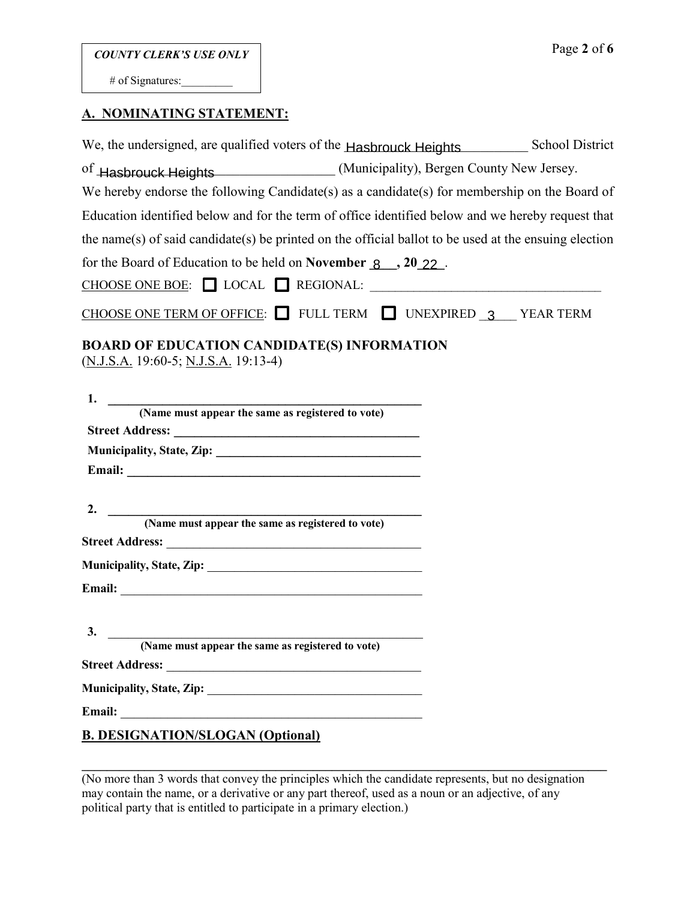# of Signatures:

#### Ī **A. NOMINATING STATEMENT:**

| We, the undersigned, are qualified voters of the Hasbrouck Heights School District                    |                                           |  |
|-------------------------------------------------------------------------------------------------------|-------------------------------------------|--|
| of Hasbrouck Heights                                                                                  | (Municipality), Bergen County New Jersey. |  |
| We hereby endorse the following Candidate(s) as a candidate(s) for membership on the Board of         |                                           |  |
| Education identified below and for the term of office identified below and we hereby request that     |                                           |  |
| the name(s) of said candidate(s) be printed on the official ballot to be used at the ensuing election |                                           |  |
| for the Board of Education to be held on November $\frac{8}{5}$ , 20 $\frac{22}{5}$ .                 |                                           |  |
| $\underline{\text{CHOOSE ONE BOE}}$ : $\boxed{\blacksquare}$ LOCAL $\boxed{\blacksquare}$ REGIONAL:   |                                           |  |
| CHOOSE ONE TERM OF OFFICE: $\boxtimes$ FULL TERM $\Box$ UNEXPIRED $\frac{3}{2}$ YEAR TERM             |                                           |  |
| <b>BOARD OF EDUCATION CANDIDATE(S) INFORMATION</b><br>(N.J.S.A. 19:60-5; N.J.S.A. 19:13-4)            |                                           |  |
|                                                                                                       |                                           |  |
|                                                                                                       |                                           |  |
|                                                                                                       |                                           |  |
|                                                                                                       |                                           |  |
| 2.                                                                                                    |                                           |  |
| (Name must appear the same as registered to vote)                                                     |                                           |  |
|                                                                                                       |                                           |  |
|                                                                                                       |                                           |  |
|                                                                                                       |                                           |  |
|                                                                                                       |                                           |  |
| 3.<br>(Name must appear the same as registered to vote)                                               |                                           |  |
|                                                                                                       |                                           |  |
|                                                                                                       |                                           |  |
|                                                                                                       |                                           |  |
| <b>B. DESIGNATION/SLOGAN (Optional)</b>                                                               |                                           |  |

**\_\_\_\_\_\_\_\_\_\_\_\_\_\_\_\_\_\_\_\_\_\_\_\_\_\_\_\_\_\_\_\_\_\_\_\_\_\_\_\_\_\_\_\_\_\_\_\_\_\_\_\_\_\_\_\_\_\_\_\_\_\_\_\_\_\_\_\_\_\_\_\_\_\_\_\_\_\_\_\_\_\_\_\_**  (No more than 3 words that convey the principles which the candidate represents, but no designation may contain the name, or a derivative or any part thereof, used as a noun or an adjective, of any political party that is entitled to participate in a primary election.)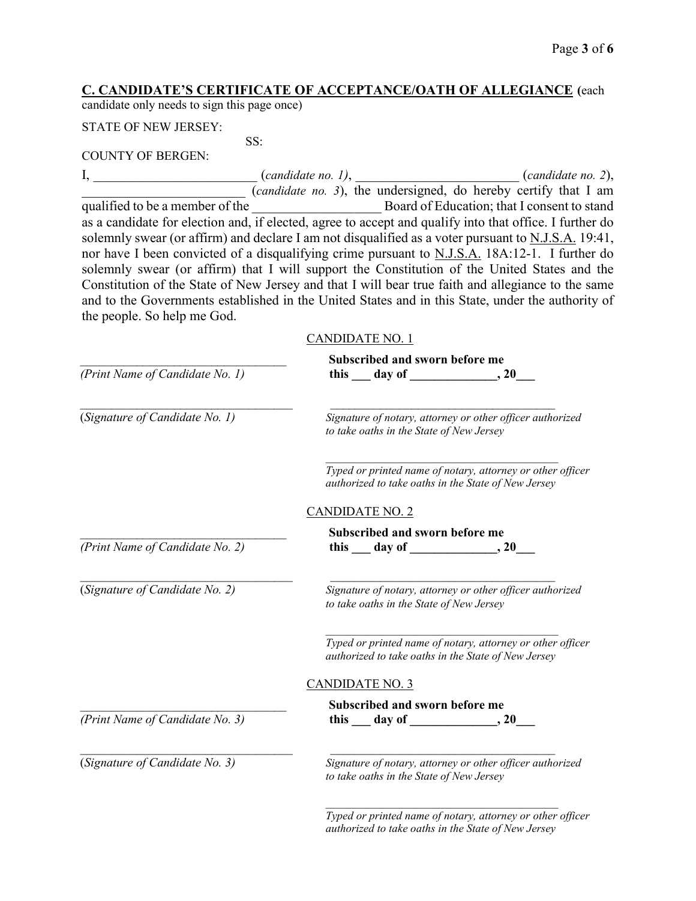# **C. CANDIDATE'S CERTIFICATE OF ACCEPTANCE/OATH OF ALLEGIANCE (**each

candidate only needs to sign this page once)

SS:

#### STATE OF NEW JERSEY:

COUNTY OF BERGEN:

I, \_\_\_\_\_\_\_\_\_\_\_\_\_\_\_\_\_\_\_\_\_\_\_\_ (*candidate no. 1)*, \_\_\_\_\_\_\_\_\_\_\_\_\_\_\_\_\_\_\_\_\_\_\_\_ (*candidate no. 2*), \_\_\_\_\_\_\_\_\_\_\_\_\_\_\_\_\_\_\_\_\_\_\_\_ (*candidate no. 3*), the undersigned, do hereby certify that I am qualified to be a member of the \_\_\_\_\_\_\_\_\_\_\_\_\_\_\_\_\_\_\_ Board of Education; that I consent to stand as a candidate for election and, if elected, agree to accept and qualify into that office. I further do solemnly swear (or affirm) and declare I am not disqualified as a voter pursuant to N.J.S.A. 19:41, nor have I been convicted of a disqualifying crime pursuant to N.J.S.A. 18A:12-1. I further do solemnly swear (or affirm) that I will support the Constitution of the United States and the Constitution of the State of New Jersey and that I will bear true faith and allegiance to the same and to the Governments established in the United States and in this State, under the authority of the people. So help me God.

#### CANDIDATE NO. 1

|                                 | Subscribed and sworn before me                                                                                    |
|---------------------------------|-------------------------------------------------------------------------------------------------------------------|
| (Print Name of Candidate No. 1) | this $\_\_$ day of $\_\_$ , 20                                                                                    |
| (Signature of Candidate No. 1)  | Signature of notary, attorney or other officer authorized<br>to take oaths in the State of New Jersey             |
|                                 | Typed or printed name of notary, attorney or other officer<br>authorized to take oaths in the State of New Jersey |
|                                 | <b>CANDIDATE NO. 2</b>                                                                                            |
|                                 | Subscribed and sworn before me                                                                                    |
| (Print Name of Candidate No. 2) | this $\_\_$ day of $\_\_$ , 20                                                                                    |
| (Signature of Candidate No. 2)  | Signature of notary, attorney or other officer authorized<br>to take oaths in the State of New Jersey             |
|                                 | Typed or printed name of notary, attorney or other officer<br>authorized to take oaths in the State of New Jersey |
|                                 | <b>CANDIDATE NO. 3</b>                                                                                            |
|                                 | Subscribed and sworn before me                                                                                    |
| (Print Name of Candidate No. 3) | this $\_\_$ day of $\_\_$ , 20                                                                                    |
| (Signature of Candidate No. 3)  | Signature of notary, attorney or other officer authorized<br>to take oaths in the State of New Jersey             |
|                                 | Typed or printed name of notary, attorney or other officer                                                        |

*Typed or printed name of notary, attorney or other officer authorized to take oaths in the State of New Jersey*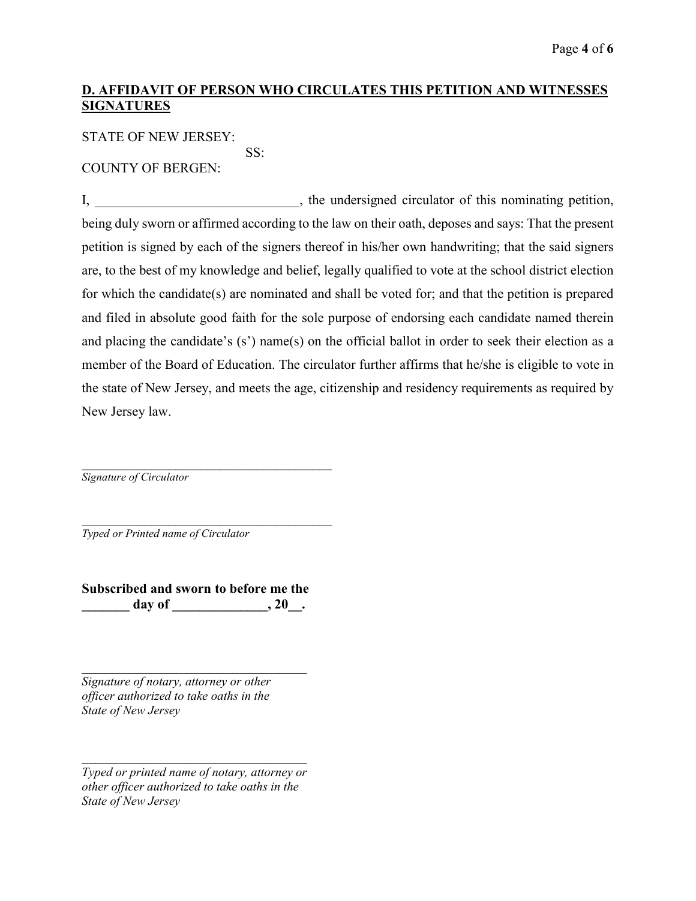# **D. AFFIDAVIT OF PERSON WHO CIRCULATES THIS PETITION AND WITNESSES SIGNATURES**

STATE OF NEW JERSEY:

SS:

COUNTY OF BERGEN:

I, the undersigned circulator of this nominating petition, being duly sworn or affirmed according to the law on their oath, deposes and says: That the present petition is signed by each of the signers thereof in his/her own handwriting; that the said signers are, to the best of my knowledge and belief, legally qualified to vote at the school district election for which the candidate(s) are nominated and shall be voted for; and that the petition is prepared and filed in absolute good faith for the sole purpose of endorsing each candidate named therein and placing the candidate's (s') name(s) on the official ballot in order to seek their election as a member of the Board of Education. The circulator further affirms that he/she is eligible to vote in the state of New Jersey, and meets the age, citizenship and residency requirements as required by New Jersey law.

*Signature of Circulator* 

 $\_$ *Typed or Printed name of Circulator* 

**Subscribed and sworn to before me the \_\_\_\_\_\_\_ day of \_\_\_\_\_\_\_\_\_\_\_\_\_\_, 20\_\_.** 

\_\_\_\_\_\_\_\_\_\_\_\_\_\_\_\_\_\_\_\_\_\_\_\_\_\_\_\_\_\_\_\_\_

 $\_$ 

*Signature of notary, attorney or other officer authorized to take oaths in the State of New Jersey*

*Typed or printed name of notary, attorney or other officer authorized to take oaths in the State of New Jersey*

\_\_\_\_\_\_\_\_\_\_\_\_\_\_\_\_\_\_\_\_\_\_\_\_\_\_\_\_\_\_\_\_\_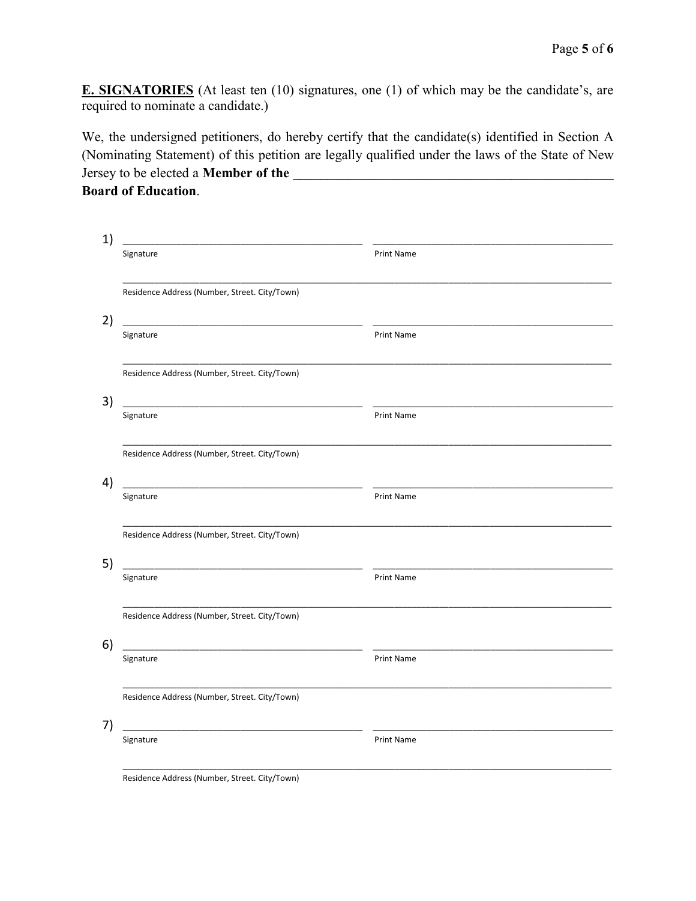**E. SIGNATORIES** (At least ten (10) signatures, one (1) of which may be the candidate's, are required to nominate a candidate.)

We, the undersigned petitioners, do hereby certify that the candidate(s) identified in Section A (Nominating Statement) of this petition are legally qualified under the laws of the State of New Jersey to be elected a **Member of the \_\_\_\_\_\_\_\_\_\_\_\_\_\_\_\_\_\_\_\_\_\_\_\_\_\_\_\_\_\_\_\_\_\_\_\_\_\_\_\_\_\_\_\_\_\_\_ Board of Education**.

| 1) |                                                                                                                                   |                   |
|----|-----------------------------------------------------------------------------------------------------------------------------------|-------------------|
|    | Signature                                                                                                                         | <b>Print Name</b> |
|    | Residence Address (Number, Street. City/Town)                                                                                     |                   |
| 2) | <u> 1989 - Johann Stoff, amerikansk politiker (d. 1989)</u><br>Signature                                                          | Print Name        |
|    | Residence Address (Number, Street. City/Town)                                                                                     |                   |
| 3) | <u> 1980 - Johann Barbara, martin amerikan basar dan bagi dan bagi dan bagi dalam bagi dalam bagi dalam bagi dan</u><br>Signature | Print Name        |
|    | Residence Address (Number, Street. City/Town)                                                                                     |                   |
| 4) | Signature                                                                                                                         | <b>Print Name</b> |
|    | Residence Address (Number, Street. City/Town)                                                                                     |                   |
| 5) | Signature                                                                                                                         | <b>Print Name</b> |
|    | Residence Address (Number, Street. City/Town)                                                                                     |                   |
| 6) | <u> 1990 - Johann John Stein, markin fan it ferskearre fan it ferskearre fan it ferskearre fan it ferskearre fan</u><br>Signature | Print Name        |
|    | Residence Address (Number, Street. City/Town)                                                                                     |                   |
| 7) | Signature                                                                                                                         | Print Name        |
|    |                                                                                                                                   |                   |

Residence Address (Number, Street. City/Town)